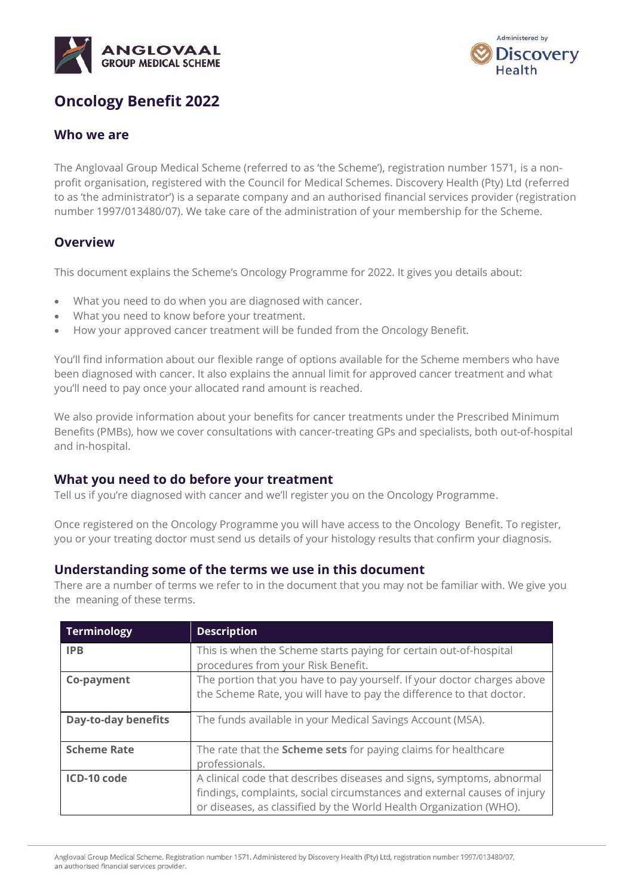



# **Oncology Benefit 2022**

# **Who we are**

The Anglovaal Group Medical Scheme (referred to as 'the Scheme'), registration number 1571, is a nonprofit organisation, registered with the Council for Medical Schemes. Discovery Health (Pty) Ltd (referred to as 'the administrator') is a separate company and an authorised financial services provider (registration number 1997/013480/07). We take care of the administration of your membership for the Scheme.

# **Overview**

This document explains the Scheme's Oncology Programme for 2022. It gives you details about:

- What you need to do when you are diagnosed with cancer.
- What you need to know before your treatment.
- How your approved cancer treatment will be funded from the Oncology Benefit.

You'll find information about our flexible range of options available for the Scheme members who have been diagnosed with cancer. It also explains the annual limit for approved cancer treatment and what you'll need to pay once your allocated rand amount is reached.

We also provide information about your benefits for cancer treatments under the Prescribed Minimum Benefits (PMBs), how we cover consultations with cancer-treating GPs and specialists, both out-of-hospital and in-hospital.

# **What you need to do before your treatment**

Tell us if you're diagnosed with cancer and we'll register you on the Oncology Programme.

Once registered on the Oncology Programme you will have access to the Oncology Benefit. To register, you or your treating doctor must send us details of your histology results that confirm your diagnosis.

# **Understanding some of the terms we use in this document**

There are a number of terms we refer to in the document that you may not be familiar with. We give you the meaning of these terms.

| <b>Terminology</b>         | <b>Description</b>                                                                                                                                                                                                      |
|----------------------------|-------------------------------------------------------------------------------------------------------------------------------------------------------------------------------------------------------------------------|
| <b>IPB</b>                 | This is when the Scheme starts paying for certain out-of-hospital<br>procedures from your Risk Benefit.                                                                                                                 |
| Co-payment                 | The portion that you have to pay yourself. If your doctor charges above<br>the Scheme Rate, you will have to pay the difference to that doctor.                                                                         |
| <b>Day-to-day benefits</b> | The funds available in your Medical Savings Account (MSA).                                                                                                                                                              |
| <b>Scheme Rate</b>         | The rate that the Scheme sets for paying claims for healthcare<br>professionals.                                                                                                                                        |
| ICD-10 code                | A clinical code that describes diseases and signs, symptoms, abnormal<br>findings, complaints, social circumstances and external causes of injury<br>or diseases, as classified by the World Health Organization (WHO). |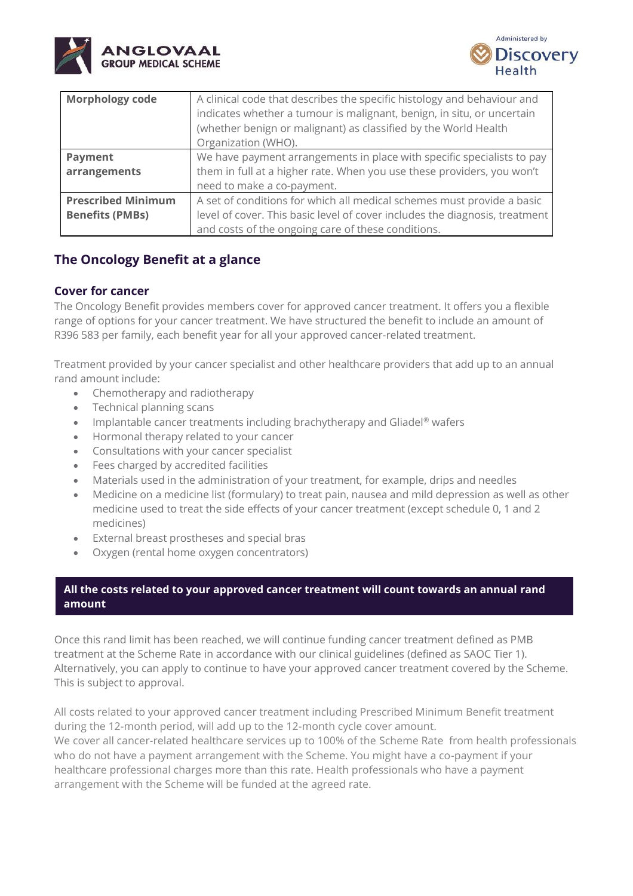



| <b>Morphology code</b>    | A clinical code that describes the specific histology and behaviour and<br>indicates whether a tumour is malignant, benign, in situ, or uncertain<br>(whether benign or malignant) as classified by the World Health<br>Organization (WHO). |
|---------------------------|---------------------------------------------------------------------------------------------------------------------------------------------------------------------------------------------------------------------------------------------|
| Payment                   | We have payment arrangements in place with specific specialists to pay                                                                                                                                                                      |
| arrangements              | them in full at a higher rate. When you use these providers, you won't                                                                                                                                                                      |
|                           | need to make a co-payment.                                                                                                                                                                                                                  |
| <b>Prescribed Minimum</b> | A set of conditions for which all medical schemes must provide a basic                                                                                                                                                                      |
| <b>Benefits (PMBs)</b>    | level of cover. This basic level of cover includes the diagnosis, treatment                                                                                                                                                                 |
|                           | and costs of the ongoing care of these conditions.                                                                                                                                                                                          |

# **The Oncology Benefit at a glance**

# **Cover for cancer**

The Oncology Benefit provides members cover for approved cancer treatment. It offers you a flexible range of options for your cancer treatment. We have structured the benefit to include an amount of R396 583 per family, each benefit year for all your approved cancer-related treatment.

Treatment provided by your cancer specialist and other healthcare providers that add up to an annual rand amount include:

- Chemotherapy and radiotherapy
- Technical planning scans
- Implantable cancer treatments including brachytherapy and Gliadel® wafers
- Hormonal therapy related to your cancer
- Consultations with your cancer specialist
- Fees charged by accredited facilities
- Materials used in the administration of your treatment, for example, drips and needles
- Medicine on a medicine list (formulary) to treat pain, nausea and mild depression as well as other medicine used to treat the side effects of your cancer treatment (except schedule 0, 1 and 2 medicines)
- External breast prostheses and special bras
- Oxygen (rental home oxygen concentrators)

# **All the costs related to your approved cancer treatment will count towards an annual rand amount**

Once this rand limit has been reached, we will continue funding cancer treatment defined as PMB treatment at the Scheme Rate in accordance with our clinical guidelines (defined as SAOC Tier 1). Alternatively, you can apply to continue to have your approved cancer treatment covered by the Scheme. This is subject to approval.

All costs related to your approved cancer treatment including Prescribed Minimum Benefit treatment during the 12-month period, will add up to the 12-month cycle cover amount. We cover all cancer-related healthcare services up to 100% of the Scheme Rate from health professionals who do not have a payment arrangement with the Scheme. You might have a co-payment if your healthcare professional charges more than this rate. Health professionals who have a payment arrangement with the Scheme will be funded at the agreed rate.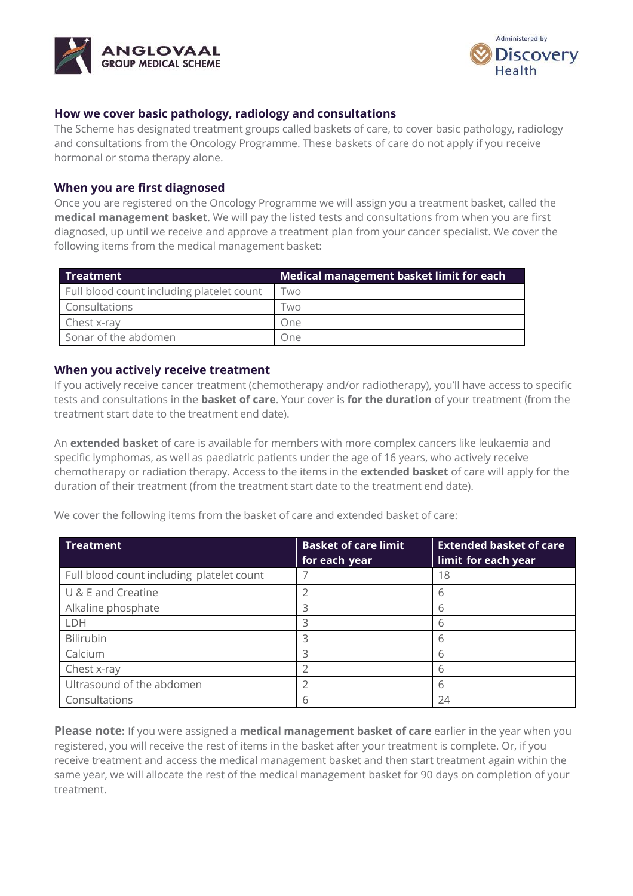



# **How we cover basic pathology, radiology and consultations**

The Scheme has designated treatment groups called baskets of care, to cover basic pathology, radiology and consultations from the Oncology Programme. These baskets of care do not apply if you receive hormonal or stoma therapy alone.

### **When you are first diagnosed**

Once you are registered on the Oncology Programme we will assign you a treatment basket, called the **medical management basket**. We will pay the listed tests and consultations from when you are first diagnosed, up until we receive and approve a treatment plan from your cancer specialist. We cover the following items from the medical management basket:

| <b>Treatment</b>                          | Medical management basket limit for each |  |
|-------------------------------------------|------------------------------------------|--|
| Full blood count including platelet count | <b>WO</b>                                |  |
| Consultations                             | l wo                                     |  |
| Chest x-ray                               | One                                      |  |
| Sonar of the abdomen                      | . Jne                                    |  |

### **When you actively receive treatment**

If you actively receive cancer treatment (chemotherapy and/or radiotherapy), you'll have access to specific tests and consultations in the **basket of care**. Your cover is **for the duration** of your treatment (from the treatment start date to the treatment end date).

An **extended basket** of care is available for members with more complex cancers like leukaemia and specific lymphomas, as well as paediatric patients under the age of 16 years, who actively receive chemotherapy or radiation therapy. Access to the items in the **extended basket** of care will apply for the duration of their treatment (from the treatment start date to the treatment end date).

We cover the following items from the basket of care and extended basket of care:

| <b>Treatment</b>                          | <b>Basket of care limit</b><br>for each year | <b>Extended basket of care</b><br>limit for each year |
|-------------------------------------------|----------------------------------------------|-------------------------------------------------------|
| Full blood count including platelet count |                                              | 18                                                    |
| U & E and Creatine                        |                                              | h                                                     |
| Alkaline phosphate                        | 3                                            | 6                                                     |
| LDH                                       | ੨                                            | 6                                                     |
| Bilirubin                                 | 3                                            | 6                                                     |
| Calcium                                   | っ                                            | 6                                                     |
| Chest x-ray                               |                                              | 6                                                     |
| Ultrasound of the abdomen                 |                                              | 6                                                     |
| Consultations                             |                                              | 24                                                    |

**Please note:** If you were assigned a **medical management basket of care** earlier in the year when you registered, you will receive the rest of items in the basket after your treatment is complete. Or, if you receive treatment and access the medical management basket and then start treatment again within the same year, we will allocate the rest of the medical management basket for 90 days on completion of your treatment.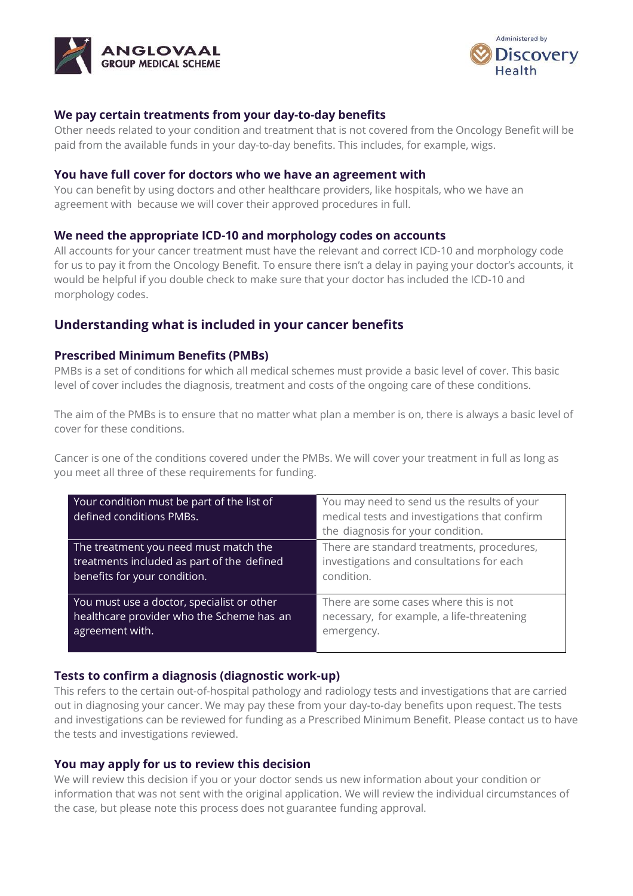



# **We pay certain treatments from your day-to-day benefits**

Other needs related to your condition and treatment that is not covered from the Oncology Benefit will be paid from the available funds in your day-to-day benefits. This includes, for example, wigs.

#### **You have full cover for doctors who we have an agreement with**

You can benefit by using doctors and other healthcare providers, like hospitals, who we have an agreement with because we will cover their approved procedures in full.

#### **We need the appropriate ICD-10 and morphology codes on accounts**

All accounts for your cancer treatment must have the relevant and correct ICD-10 and morphology code for us to pay it from the Oncology Benefit. To ensure there isn't a delay in paying your doctor's accounts, it would be helpful if you double check to make sure that your doctor has included the ICD-10 and morphology codes.

# **Understanding what is included in your cancer benefits**

### **Prescribed Minimum Benefits (PMBs)**

PMBs is a set of conditions for which all medical schemes must provide a basic level of cover. This basic level of cover includes the diagnosis, treatment and costs of the ongoing care of these conditions.

The aim of the PMBs is to ensure that no matter what plan a member is on, there is always a basic level of cover for these conditions.

Cancer is one of the conditions covered under the PMBs. We will cover your treatment in full as long as you meet all three of these requirements for funding.

| Your condition must be part of the list of<br>defined conditions PMBs. | You may need to send us the results of your<br>medical tests and investigations that confirm<br>the diagnosis for your condition. |
|------------------------------------------------------------------------|-----------------------------------------------------------------------------------------------------------------------------------|
| The treatment you need must match the                                  | There are standard treatments, procedures,                                                                                        |
| treatments included as part of the defined                             | investigations and consultations for each                                                                                         |
| benefits for your condition.                                           | condition.                                                                                                                        |
| You must use a doctor, specialist or other                             | There are some cases where this is not                                                                                            |
| healthcare provider who the Scheme has an                              | necessary, for example, a life-threatening                                                                                        |
| agreement with.                                                        | emergency.                                                                                                                        |

#### **Tests to confirm a diagnosis (diagnostic work-up)**

This refers to the certain out-of-hospital pathology and radiology tests and investigations that are carried out in diagnosing your cancer. We may pay these from your day-to-day benefits upon request. The tests and investigations can be reviewed for funding as a Prescribed Minimum Benefit. Please contact us to have the tests and investigations reviewed.

#### **You may apply for us to review this decision**

We will review this decision if you or your doctor sends us new information about your condition or information that was not sent with the original application. We will review the individual circumstances of the case, but please note this process does not guarantee funding approval.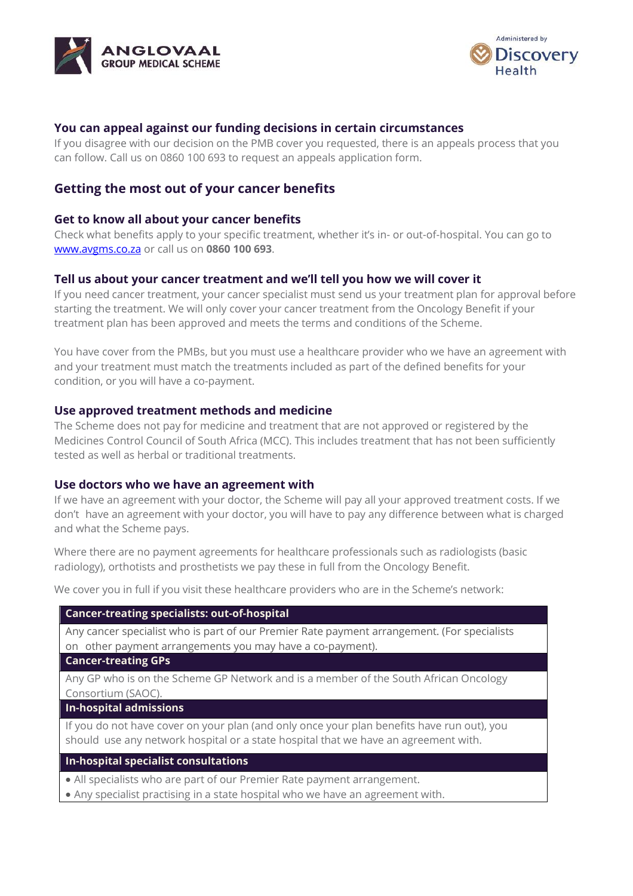



# **You can appeal against our funding decisions in certain circumstances**

If you disagree with our decision on the PMB cover you requested, there is an appeals process that you can follow. Call us on 0860 100 693 to request an appeals application form.

# **Getting the most out of your cancer benefits**

### **Get to know all about your cancer benefits**

Check what benefits apply to your specific treatment, whether it's in- or out-of-hospital. You can go to [www.avgms.co.za](http://www.avgms.co.za/) or call us on **0860 100 693**.

# **Tell us about your cancer treatment and we'll tell you how we will cover it**

If you need cancer treatment, your cancer specialist must send us your treatment plan for approval before starting the treatment. We will only cover your cancer treatment from the Oncology Benefit if your treatment plan has been approved and meets the terms and conditions of the Scheme.

You have cover from the PMBs, but you must use a healthcare provider who we have an agreement with and your treatment must match the treatments included as part of the defined benefits for your condition, or you will have a co-payment.

### **Use approved treatment methods and medicine**

The Scheme does not pay for medicine and treatment that are not approved or registered by the Medicines Control Council of South Africa (MCC). This includes treatment that has not been sufficiently tested as well as herbal or traditional treatments.

#### **Use doctors who we have an agreement with**

If we have an agreement with your doctor, the Scheme will pay all your approved treatment costs. If we don't have an agreement with your doctor, you will have to pay any difference between what is charged and what the Scheme pays.

Where there are no payment agreements for healthcare professionals such as radiologists (basic radiology), orthotists and prosthetists we pay these in full from the Oncology Benefit.

We cover you in full if you visit these healthcare providers who are in the Scheme's network:

#### **Cancer-treating specialists: out-of-hospital**

Any cancer specialist who is part of our Premier Rate payment arrangement. (For specialists on other payment arrangements you may have a co-payment).

#### **Cancer-treating GPs**

Any GP who is on the Scheme GP Network and is a member of the South African Oncology Consortium (SAOC).

#### **In-hospital admissions**

If you do not have cover on your plan (and only once your plan benefits have run out), you should use any network hospital or a state hospital that we have an agreement with.

### **In-hospital specialist consultations**

• All specialists who are part of our Premier Rate payment arrangement.

• Any specialist practising in a state hospital who we have an agreement with.